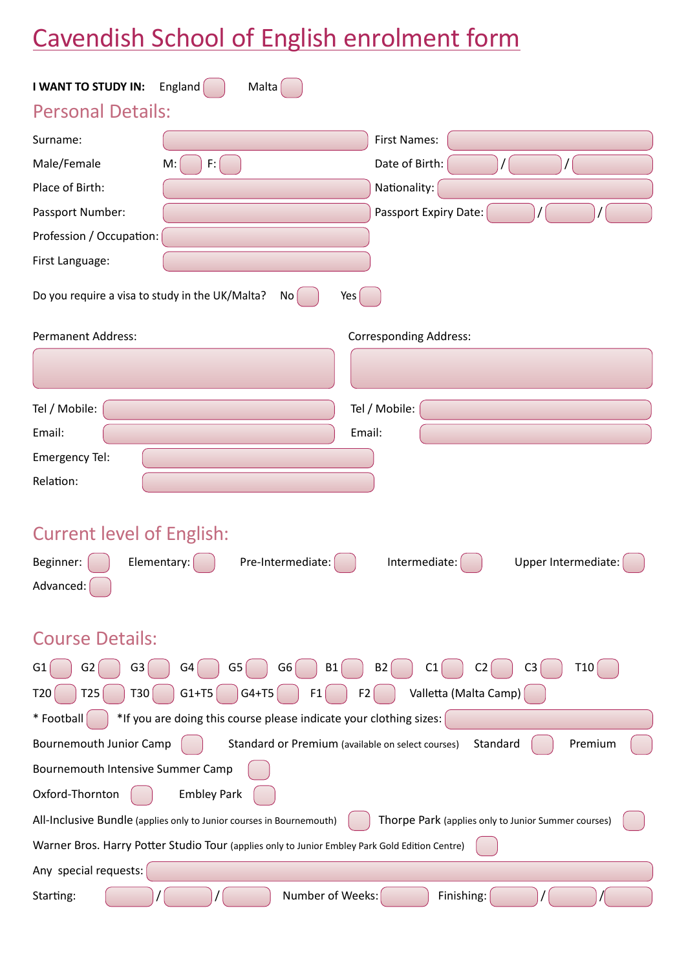# Cavendish School of English enrolment form

| England<br>Malta<br>I WANT TO STUDY IN:                                                                                                                     |  |  |  |  |
|-------------------------------------------------------------------------------------------------------------------------------------------------------------|--|--|--|--|
| <b>Personal Details:</b>                                                                                                                                    |  |  |  |  |
| Surname:<br><b>First Names:</b>                                                                                                                             |  |  |  |  |
| Date of Birth:<br>Male/Female<br>M:<br>F:                                                                                                                   |  |  |  |  |
| Place of Birth:<br>Nationality:                                                                                                                             |  |  |  |  |
| Passport Expiry Date:<br>Passport Number:                                                                                                                   |  |  |  |  |
| Profession / Occupation:                                                                                                                                    |  |  |  |  |
| First Language:                                                                                                                                             |  |  |  |  |
| Do you require a visa to study in the UK/Malta?<br>Yes<br>No l                                                                                              |  |  |  |  |
| <b>Permanent Address:</b><br><b>Corresponding Address:</b>                                                                                                  |  |  |  |  |
|                                                                                                                                                             |  |  |  |  |
| Tel / Mobile:<br>Tel / Mobile:                                                                                                                              |  |  |  |  |
| Email:<br>Email:                                                                                                                                            |  |  |  |  |
| Emergency Tel:                                                                                                                                              |  |  |  |  |
| Relation:                                                                                                                                                   |  |  |  |  |
| <b>Current level of English:</b><br>Pre-Intermediate:<br>Beginner:<br>Elementary:<br>Intermediate:<br>Upper Intermediate:<br>Advanced:                      |  |  |  |  |
| <b>Course Details:</b>                                                                                                                                      |  |  |  |  |
| G6<br><b>B2</b><br>C <sub>3</sub><br>T <sub>10</sub><br>G <sub>3</sub><br>G4<br>G5<br><b>B1</b><br>G <sub>2</sub><br>C <sub>1</sub><br>C <sub>2</sub><br>G1 |  |  |  |  |
| Valletta (Malta Camp)<br>T25<br>T30<br>$G1+T5$<br>$G4+T5$<br>F2<br>T <sub>20</sub><br>F1                                                                    |  |  |  |  |
| *If you are doing this course please indicate your clothing sizes: [<br>* Football                                                                          |  |  |  |  |
| <b>Bournemouth Junior Camp</b><br>Premium<br>Standard or Premium (available on select courses)<br>Standard                                                  |  |  |  |  |
| Bournemouth Intensive Summer Camp                                                                                                                           |  |  |  |  |
| Oxford-Thornton<br><b>Embley Park</b>                                                                                                                       |  |  |  |  |
| All-Inclusive Bundle (applies only to Junior courses in Bournemouth)<br>Thorpe Park (applies only to Junior Summer courses)                                 |  |  |  |  |
| Warner Bros. Harry Potter Studio Tour (applies only to Junior Embley Park Gold Edition Centre)                                                              |  |  |  |  |
| Any special requests:                                                                                                                                       |  |  |  |  |
| Number of Weeks:<br>Finishing:<br>Starting:                                                                                                                 |  |  |  |  |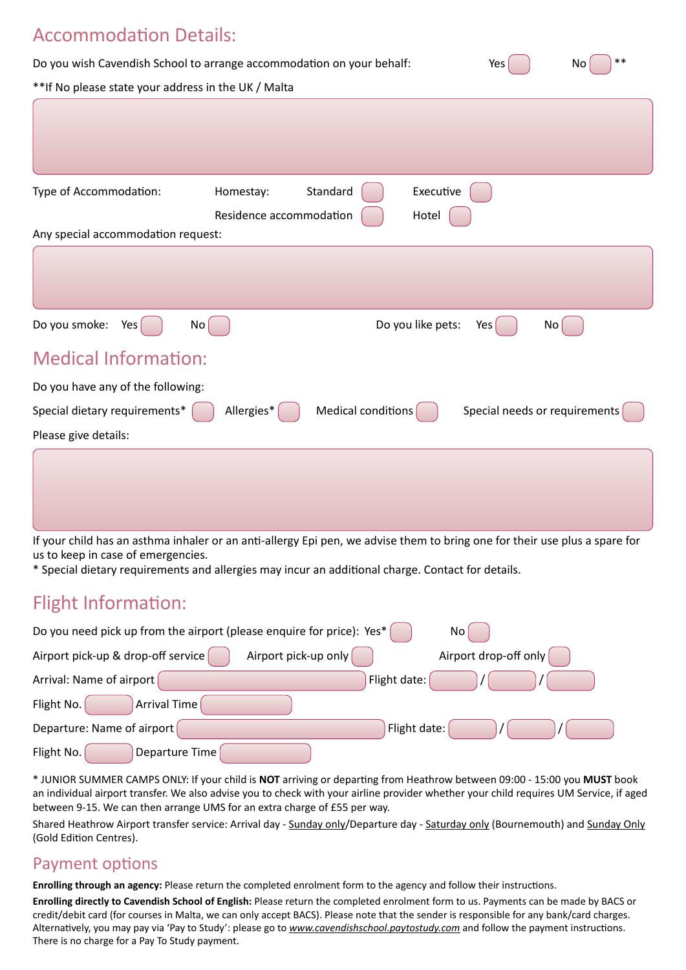# Accommodation Details: Do you wish Cavendish School to arrange accommodation on your behalf: Yes \*\*If No please state your address in the UK / Malta Type of Accommodation:  $H$  Homestay: Standard  $\begin{pmatrix} 1 & 1 \\ 1 & 1 \end{pmatrix}$  Executive Residence accommodation  $\vert$   $\vert$  Hotel Any special accommodation request: Do you smoke: Yes No No No No Reserve No Do you like pets: Yes No Medical Information: Do you have any of the following: Special dietary requirements\*  $\begin{pmatrix} 1 & 1 \end{pmatrix}$  Allergies\* Medical conditions  $\begin{pmatrix} 1 & 1 \end{pmatrix}$  Special needs or requirements Please give details:

| If your child has an asthma inhaler or an anti-allergy Epi pen, we advise them to bring one for their use plus a spare for |
|----------------------------------------------------------------------------------------------------------------------------|

If your child has an asthma inhaler or an anti-allergy Epi pen, we advise them to bring one for their use plus a spare for us to keep in case of emergencies.

\* Special dietary requirements and allergies may incur an additional charge. Contact for details.

## Flight Information:

| Do you need pick up from the airport (please enquire for price): Yes* |                      | No.                   |
|-----------------------------------------------------------------------|----------------------|-----------------------|
| Airport pick-up & drop-off service                                    | Airport pick-up only | Airport drop-off only |
| Arrival: Name of airport                                              | Flight date:         |                       |
| Flight No.<br>Arrival Time                                            |                      |                       |
| Departure: Name of airport                                            | Flight date:         |                       |
| Flight No.<br>Departure Time                                          |                      |                       |

\* JUNIOR SUMMER CAMPS ONLY: If your child is **NOT** arriving or departing from Heathrow between 09:00 - 15:00 you **MUST** book an individual airport transfer. We also advise you to check with your airline provider whether your child requires UM Service, if aged between 9-15. We can then arrange UMS for an extra charge of £55 per way.

Shared Heathrow Airport transfer service: Arrival day - Sunday only/Departure day - Saturday only (Bournemouth) and Sunday Only (Gold Edition Centres).

### Payment options

**Enrolling through an agency:** Please return the completed enrolment form to the agency and follow their instructions.

**Enrolling directly to Cavendish School of English:** Please return the completed enrolment form to us. Payments can be made by BACS or credit/debit card (for courses in Malta, we can only accept BACS). Please note that the sender is responsible for any bank/card charges. Alternatively, you may pay via 'Pay to Study': please go to *www.cavendishschool.paytostudy.com* and follow the payment instructions. There is no charge for a Pay To Study payment.